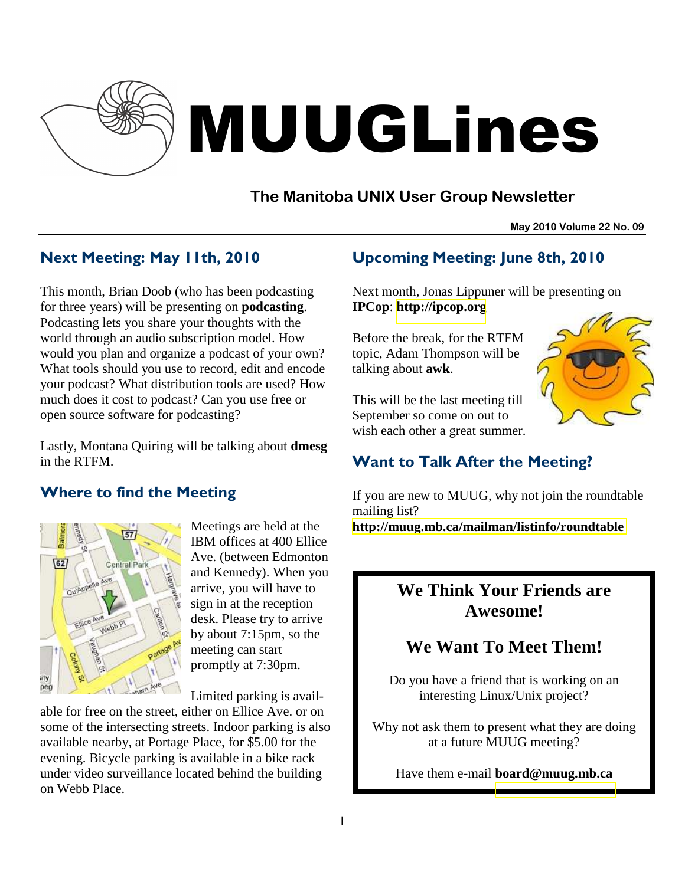

# MUUGLines

# **The Manitoba UNIX User Group Newsletter**

**May 2010 Volume 22 No. 09**

## Next Meeting: May 11th, 2010

This month, Brian Doob (who has been podcasting for three years) will be presenting on **podcasting**. Podcasting lets you share your thoughts with the world through an audio subscription model. How would you plan and organize a podcast of your own? What tools should you use to record, edit and encode your podcast? What distribution tools are used? How much does it cost to podcast? Can you use free or open source software for podcasting?

Lastly, Montana Quiring will be talking about **dmesg** in the RTFM.

## Where to find the Meeting



Meetings are held at the IBM offices at 400 Ellice Ave. (between Edmonton and Kennedy). When you arrive, you will have to sign in at the reception desk. Please try to arrive by about 7:15pm, so the meeting can start promptly at 7:30pm.

Limited parking is avail-

able for free on the street, either on Ellice Ave. or on some of the intersecting streets. Indoor parking is also available nearby, at Portage Place, for \$5.00 for the evening. Bicycle parking is available in a bike rack under video surveillance located behind the building on Webb Place.

## Upcoming Meeting: June 8th, 2010

Next month, Jonas Lippuner will be presenting on **IPCop**: **[http://ipcop.org](http://ipcop.org/)**

Before the break, for the RTFM topic, Adam Thompson will be talking about **awk**.

This will be the last meeting till September so come on out to wish each other a great summer.



## Want to Talk After the Meeting?

If you are new to MUUG, why not join the roundtable mailing list?

**<http://muug.mb.ca/mailman/listinfo/roundtable>**

# **We Think Your Friends are Awesome!**

# **We Want To Meet Them!**

Do you have a friend that is working on an interesting Linux/Unix project?

Why not ask them to present what they are doing at a future MUUG meeting?

Have them e-mail **board@muug.mb.ca**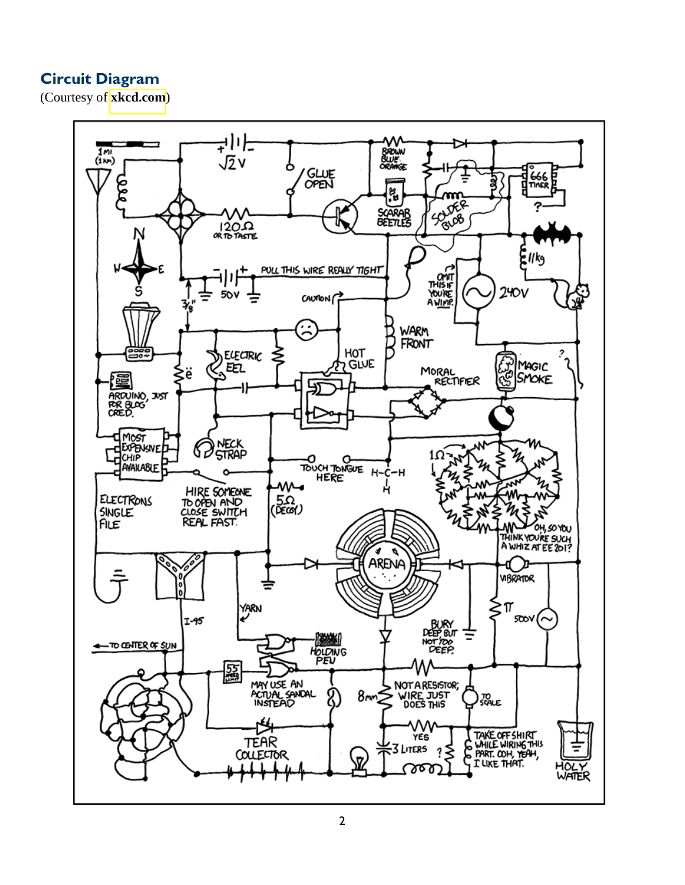## Circuit Diagram

(Courtesy of **[xkcd.com](http://xkcd.com/730/)**)

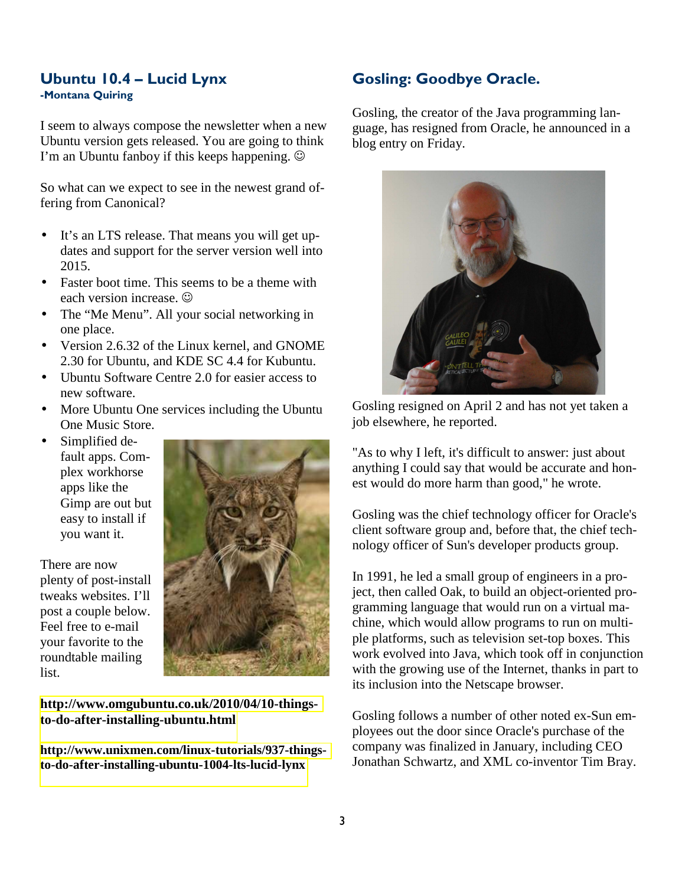#### Ubuntu 10.4 – Lucid Lynx -Montana Quiring

I seem to always compose the newsletter when a new Ubuntu version gets released. You are going to think I'm an Ubuntu fanboy if this keeps happening.  $\odot$ 

So what can we expect to see in the newest grand offering from Canonical?

- It's an LTS release. That means you will get updates and support for the server version well into 2015.
- Faster boot time. This seems to be a theme with each version increase.  $\odot$
- The "Me Menu". All your social networking in one place.
- Version 2.6.32 of the Linux kernel, and GNOME 2.30 for Ubuntu, and KDE SC 4.4 for Kubuntu.
- Ubuntu Software Centre 2.0 for easier access to new software.
- More Ubuntu One services including the Ubuntu One Music Store.
- Simplified default apps. Complex workhorse apps like the Gimp are out but easy to install if you want it.

There are now plenty of post-install tweaks websites. I'll post a couple below. Feel free to e-mail your favorite to the roundtable mailing list.



**[http://www.omgubuntu.co.uk/2010/04/10-things](http://www.omgubuntu.co.uk/2010/04/10-things-to-do-after-installing-ubuntu.html)[to-do-after-installing-ubuntu.html](http://www.omgubuntu.co.uk/2010/04/10-things-to-do-after-installing-ubuntu.html)** 

**[http://www.unixmen.com/linux-tutorials/937-things](http://www.unixmen.com/linux-tutorials/937-things-to-do-after-installing-ubuntu-1004-lts-lucid-lynx)[to-do-after-installing-ubuntu-1004-lts-lucid-lynx](http://www.unixmen.com/linux-tutorials/937-things-to-do-after-installing-ubuntu-1004-lts-lucid-lynx)** 

## Gosling: Goodbye Oracle.

Gosling, the creator of the Java programming language, has resigned from Oracle, he announced in a blog entry on Friday.



Gosling resigned on April 2 and has not yet taken a job elsewhere, he reported.

"As to why I left, it's difficult to answer: just about anything I could say that would be accurate and honest would do more harm than good," he wrote.

Gosling was the chief technology officer for Oracle's client software group and, before that, the chief technology officer of Sun's developer products group.

In 1991, he led a small group of engineers in a project, then called Oak, to build an object-oriented programming language that would run on a virtual machine, which would allow programs to run on multiple platforms, such as television set-top boxes. This work evolved into Java, which took off in conjunction with the growing use of the Internet, thanks in part to its inclusion into the Netscape browser.

Gosling follows a number of other noted ex-Sun employees out the door since Oracle's purchase of the company was finalized in January, including CEO Jonathan Schwartz, and XML co-inventor Tim Bray.